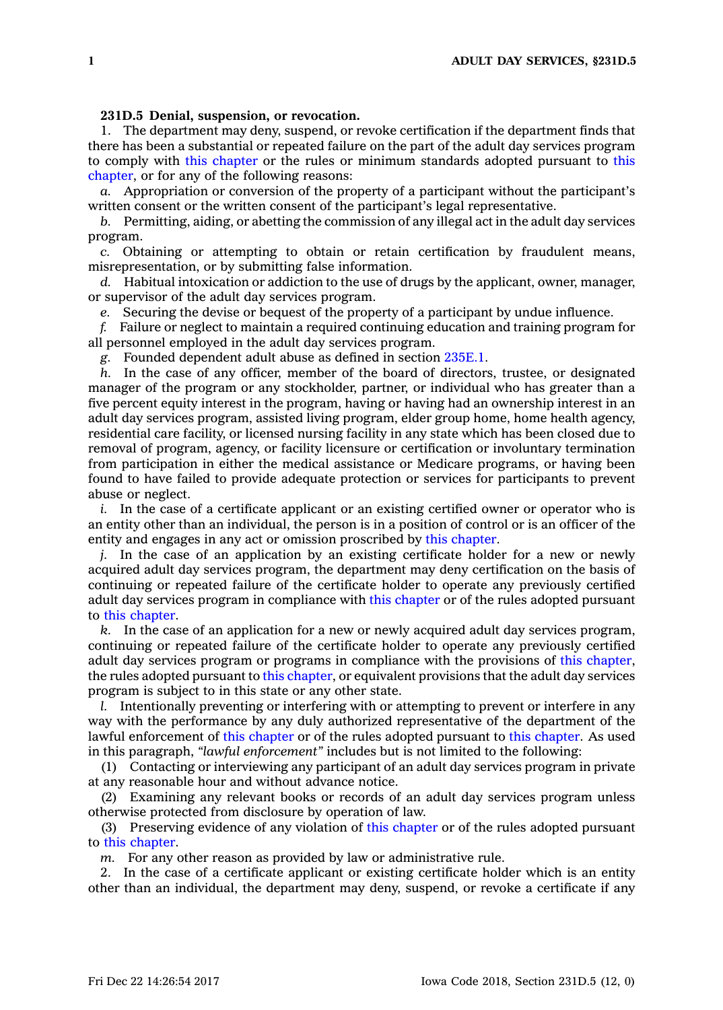## **231D.5 Denial, suspension, or revocation.**

1. The department may deny, suspend, or revoke certification if the department finds that there has been <sup>a</sup> substantial or repeated failure on the part of the adult day services program to comply with this [chapter](https://www.legis.iowa.gov/docs/code//231D.pdf) or the rules or minimum standards adopted pursuant to [this](https://www.legis.iowa.gov/docs/code//231D.pdf) [chapter](https://www.legis.iowa.gov/docs/code//231D.pdf), or for any of the following reasons:

*a.* Appropriation or conversion of the property of <sup>a</sup> participant without the participant's written consent or the written consent of the participant's legal representative.

*b.* Permitting, aiding, or abetting the commission of any illegal act in the adult day services program.

*c.* Obtaining or attempting to obtain or retain certification by fraudulent means, misrepresentation, or by submitting false information.

*d.* Habitual intoxication or addiction to the use of drugs by the applicant, owner, manager, or supervisor of the adult day services program.

*e.* Securing the devise or bequest of the property of <sup>a</sup> participant by undue influence.

*f.* Failure or neglect to maintain <sup>a</sup> required continuing education and training program for all personnel employed in the adult day services program.

*g.* Founded dependent adult abuse as defined in section [235E.1](https://www.legis.iowa.gov/docs/code/235E.1.pdf).

*h.* In the case of any officer, member of the board of directors, trustee, or designated manager of the program or any stockholder, partner, or individual who has greater than <sup>a</sup> five percent equity interest in the program, having or having had an ownership interest in an adult day services program, assisted living program, elder group home, home health agency, residential care facility, or licensed nursing facility in any state which has been closed due to removal of program, agency, or facility licensure or certification or involuntary termination from participation in either the medical assistance or Medicare programs, or having been found to have failed to provide adequate protection or services for participants to prevent abuse or neglect.

*i.* In the case of a certificate applicant or an existing certified owner or operator who is an entity other than an individual, the person is in <sup>a</sup> position of control or is an officer of the entity and engages in any act or omission proscribed by this [chapter](https://www.legis.iowa.gov/docs/code//231D.pdf).

*j.* In the case of an application by an existing certificate holder for <sup>a</sup> new or newly acquired adult day services program, the department may deny certification on the basis of continuing or repeated failure of the certificate holder to operate any previously certified adult day services program in compliance with this [chapter](https://www.legis.iowa.gov/docs/code//231D.pdf) or of the rules adopted pursuant to this [chapter](https://www.legis.iowa.gov/docs/code//231D.pdf).

*k.* In the case of an application for <sup>a</sup> new or newly acquired adult day services program, continuing or repeated failure of the certificate holder to operate any previously certified adult day services program or programs in compliance with the provisions of this [chapter](https://www.legis.iowa.gov/docs/code//231D.pdf), the rules adopted pursuant to this [chapter](https://www.legis.iowa.gov/docs/code//231D.pdf), or equivalent provisions that the adult day services program is subject to in this state or any other state.

*l.* Intentionally preventing or interfering with or attempting to prevent or interfere in any way with the performance by any duly authorized representative of the department of the lawful enforcement of this [chapter](https://www.legis.iowa.gov/docs/code//231D.pdf) or of the rules adopted pursuant to this [chapter](https://www.legis.iowa.gov/docs/code//231D.pdf). As used in this paragraph, *"lawful enforcement"* includes but is not limited to the following:

(1) Contacting or interviewing any participant of an adult day services program in private at any reasonable hour and without advance notice.

(2) Examining any relevant books or records of an adult day services program unless otherwise protected from disclosure by operation of law.

(3) Preserving evidence of any violation of this [chapter](https://www.legis.iowa.gov/docs/code//231D.pdf) or of the rules adopted pursuant to this [chapter](https://www.legis.iowa.gov/docs/code//231D.pdf).

*m.* For any other reason as provided by law or administrative rule.

2. In the case of <sup>a</sup> certificate applicant or existing certificate holder which is an entity other than an individual, the department may deny, suspend, or revoke <sup>a</sup> certificate if any